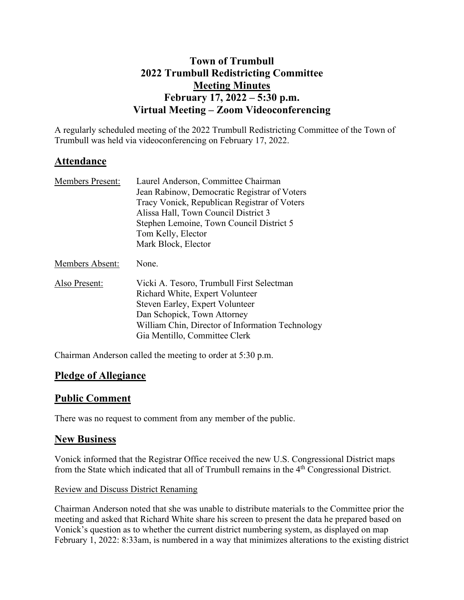# **Town of Trumbull 2022 Trumbull Redistricting Committee Meeting Minutes February 17, 2022 – 5:30 p.m. Virtual Meeting – Zoom Videoconferencing**

A regularly scheduled meeting of the 2022 Trumbull Redistricting Committee of the Town of Trumbull was held via videoconferencing on February 17, 2022.

# **Attendance**

| <b>Members Present:</b> | Laurel Anderson, Committee Chairman              |
|-------------------------|--------------------------------------------------|
|                         | Jean Rabinow, Democratic Registrar of Voters     |
|                         | Tracy Vonick, Republican Registrar of Voters     |
|                         | Alissa Hall, Town Council District 3             |
|                         | Stephen Lemoine, Town Council District 5         |
|                         | Tom Kelly, Elector                               |
|                         | Mark Block, Elector                              |
| <b>Members Absent:</b>  | None.                                            |
| Also Present:           | Vicki A. Tesoro, Trumbull First Selectman        |
|                         | Richard White, Expert Volunteer                  |
|                         | Steven Earley, Expert Volunteer                  |
|                         | Dan Schopick, Town Attorney                      |
|                         | William Chin, Director of Information Technology |
|                         | Gia Mentillo, Committee Clerk                    |
|                         |                                                  |

Chairman Anderson called the meeting to order at 5:30 p.m.

## **Pledge of Allegiance**

## **Public Comment**

There was no request to comment from any member of the public.

## **New Business**

Vonick informed that the Registrar Office received the new U.S. Congressional District maps from the State which indicated that all of Trumbull remains in the 4<sup>th</sup> Congressional District.

#### Review and Discuss District Renaming

Chairman Anderson noted that she was unable to distribute materials to the Committee prior the meeting and asked that Richard White share his screen to present the data he prepared based on Vonick's question as to whether the current district numbering system, as displayed on map February 1, 2022: 8:33am, is numbered in a way that minimizes alterations to the existing district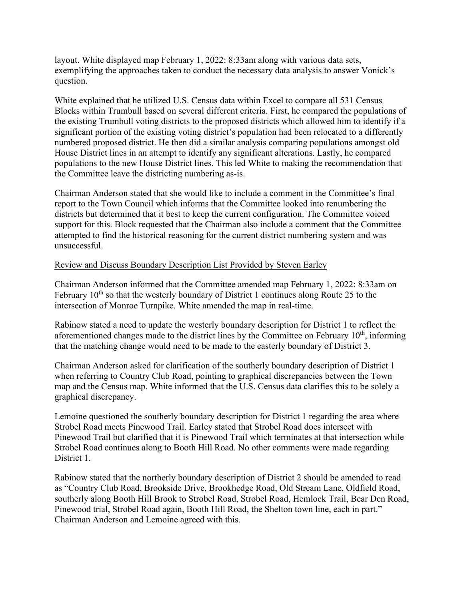layout. White displayed map February 1, 2022: 8:33am along with various data sets, exemplifying the approaches taken to conduct the necessary data analysis to answer Vonick's question.

White explained that he utilized U.S. Census data within Excel to compare all 531 Census Blocks within Trumbull based on several different criteria. First, he compared the populations of the existing Trumbull voting districts to the proposed districts which allowed him to identify if a significant portion of the existing voting district's population had been relocated to a differently numbered proposed district. He then did a similar analysis comparing populations amongst old House District lines in an attempt to identify any significant alterations. Lastly, he compared populations to the new House District lines. This led White to making the recommendation that the Committee leave the districting numbering as-is.

Chairman Anderson stated that she would like to include a comment in the Committee's final report to the Town Council which informs that the Committee looked into renumbering the districts but determined that it best to keep the current configuration. The Committee voiced support for this. Block requested that the Chairman also include a comment that the Committee attempted to find the historical reasoning for the current district numbering system and was unsuccessful.

#### Review and Discuss Boundary Description List Provided by Steven Earley

Chairman Anderson informed that the Committee amended map February 1, 2022: 8:33am on February  $10^{th}$  so that the westerly boundary of District 1 continues along Route 25 to the intersection of Monroe Turnpike. White amended the map in real-time.

Rabinow stated a need to update the westerly boundary description for District 1 to reflect the aforementioned changes made to the district lines by the Committee on February  $10<sup>th</sup>$ , informing that the matching change would need to be made to the easterly boundary of District 3.

Chairman Anderson asked for clarification of the southerly boundary description of District 1 when referring to Country Club Road, pointing to graphical discrepancies between the Town map and the Census map. White informed that the U.S. Census data clarifies this to be solely a graphical discrepancy.

Lemoine questioned the southerly boundary description for District 1 regarding the area where Strobel Road meets Pinewood Trail. Earley stated that Strobel Road does intersect with Pinewood Trail but clarified that it is Pinewood Trail which terminates at that intersection while Strobel Road continues along to Booth Hill Road. No other comments were made regarding District 1.

Rabinow stated that the northerly boundary description of District 2 should be amended to read as "Country Club Road, Brookside Drive, Brookhedge Road, Old Stream Lane, Oldfield Road, southerly along Booth Hill Brook to Strobel Road, Strobel Road, Hemlock Trail, Bear Den Road, Pinewood trial, Strobel Road again, Booth Hill Road, the Shelton town line, each in part." Chairman Anderson and Lemoine agreed with this.